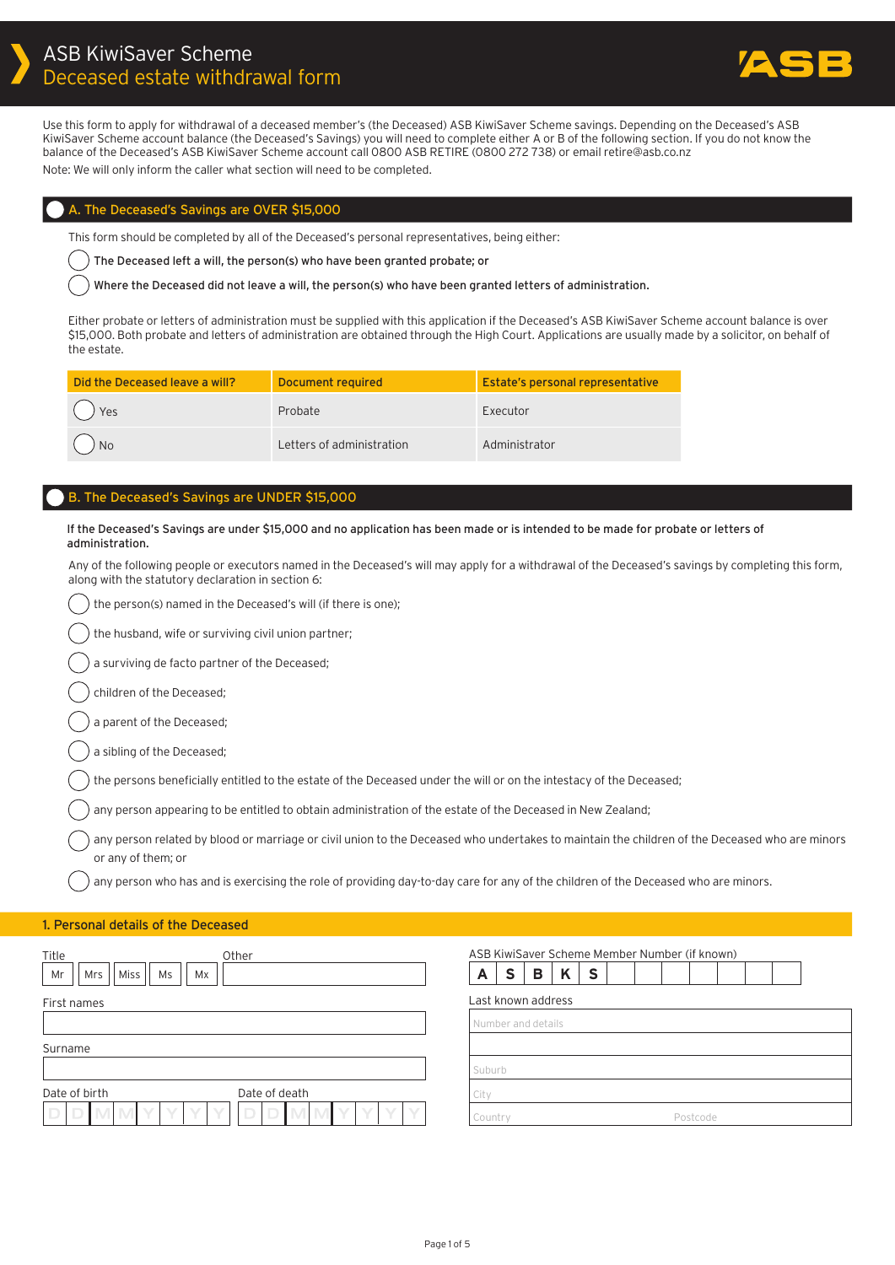

Use this form to apply for withdrawal of a deceased member's (the Deceased) ASB KiwiSaver Scheme savings. Depending on the Deceased's ASB KiwiSaver Scheme account balance (the Deceased's Savings) you will need to complete either A or B of the following section. If you do not know the balance of the Deceased's ASB KiwiSaver Scheme account call 0800 ASB RETIRE (0800 272 738) or email retire@asb.co.nz Note: We will only inform the caller what section will need to be completed.

## A. The Deceased's Savings are OVER \$15,000

This form should be completed by all of the Deceased's personal representatives, being either:

The Deceased left a will, the person(s) who have been granted probate; or

Where the Deceased did not leave a will, the person(s) who have been granted letters of administration.

Either probate or letters of administration must be supplied with this application if the Deceased's ASB KiwiSaver Scheme account balance is over \$15,000. Both probate and letters of administration are obtained through the High Court. Applications are usually made by a solicitor, on behalf of the estate.

| Did the Deceased leave a will? | Document required         | Estate's personal representative |
|--------------------------------|---------------------------|----------------------------------|
| $()$ Yes                       | Probate                   | Executor                         |
| $( )$ No                       | Letters of administration | Administrator                    |

# B. The Deceased's Savings are UNDER \$15,000

If the Deceased's Savings are under \$15,000 and no application has been made or is intended to be made for probate or letters of administration.

Any of the following people or executors named in the Deceased's will may apply for a withdrawal of the Deceased's savings by completing this form, along with the statutory declaration in section 6:

|  | ) the person(s) named in the Deceased's will (if there is one); |  |
|--|-----------------------------------------------------------------|--|
|--|-----------------------------------------------------------------|--|

the husband, wife or surviving civil union partner;

a surviving de facto partner of the Deceased;

children of the Deceased;

a parent of the Deceased;

a sibling of the Deceased;

the persons beneficially entitled to the estate of the Deceased under the will or on the intestacy of the Deceased;

any person appearing to be entitled to obtain administration of the estate of the Deceased in New Zealand;

any person related by blood or marriage or civil union to the Deceased who undertakes to maintain the children of the Deceased who are minors or any of them; or

any person who has and is exercising the role of providing day-to-day care for any of the children of the Deceased who are minors.

#### 1. Personal details of the Deceased

| Title<br>Other                                    | ASB KiwiSaver Scheme Member Number (if known) |
|---------------------------------------------------|-----------------------------------------------|
| Miss  <br>Ms<br>Mr<br>Mrs<br>Mx                   | K<br><b>S</b><br>A<br><b>S</b><br>B           |
| First names                                       | Last known address                            |
|                                                   | Number and details                            |
| Surname                                           |                                               |
|                                                   | Suburb                                        |
| Date of birth<br>Date of death                    | City                                          |
| V<br>$\Box$<br>$\sqrt{}$<br>$\vee$<br>$\Box$<br>D | Country<br>Postcode                           |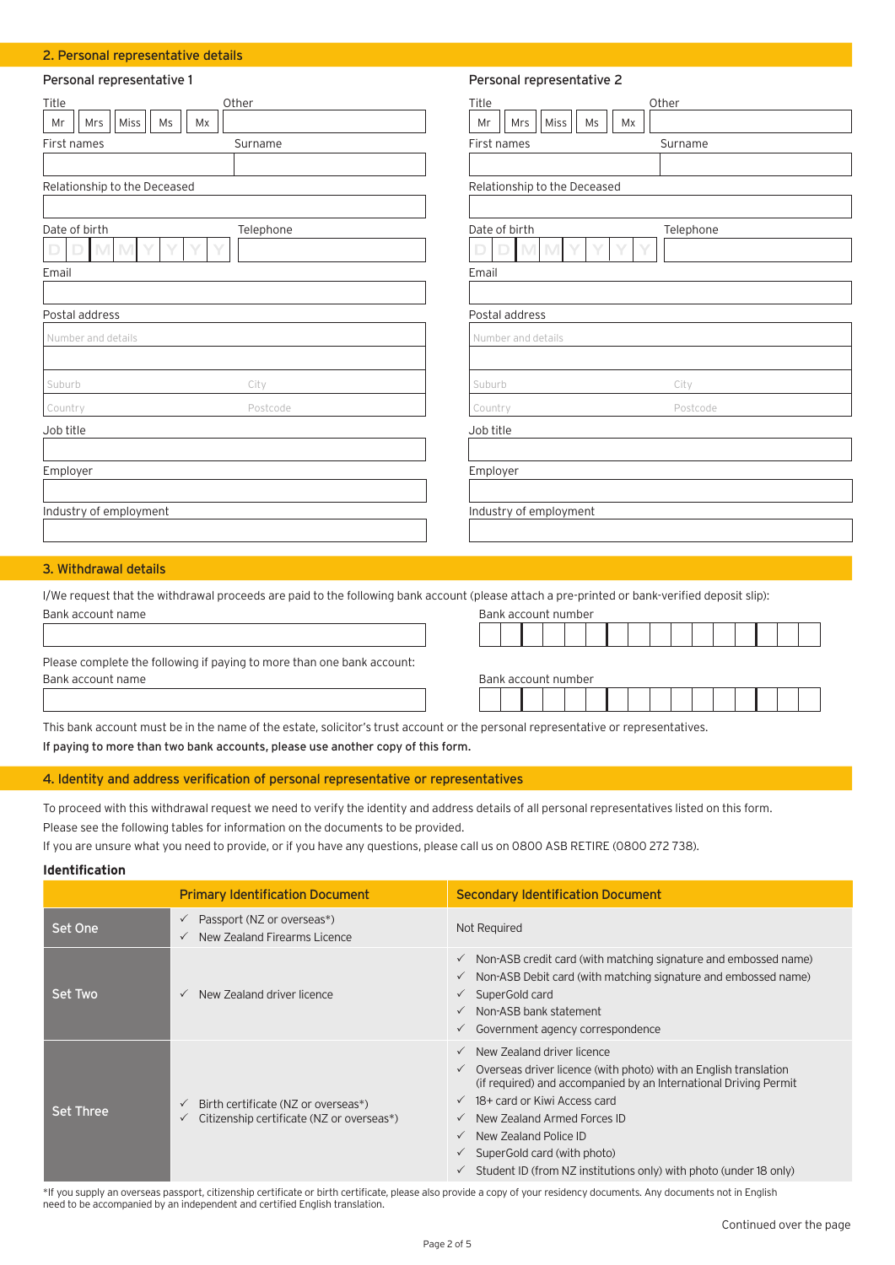#### 2. Personal representative details

| Personal representative 1                                                 | Personal representative 2                                                 |
|---------------------------------------------------------------------------|---------------------------------------------------------------------------|
| Other<br>Title<br>Miss<br>Ms<br>Mrs<br>Mx<br>Mr<br>First names<br>Surname | Other<br>Title<br>Miss<br>Mrs<br>Ms<br>Mr<br>Mx<br>First names<br>Surname |
| Relationship to the Deceased                                              | Relationship to the Deceased                                              |
| Date of birth<br>Telephone<br>V<br>Email                                  | Date of birth<br>Telephone<br>Email                                       |
| Postal address<br>Number and details                                      | Postal address<br>Number and details                                      |
| Suburb<br>City<br>Postcode<br>Country                                     | City<br>Suburb<br>Postcode<br>Country                                     |
| Job title                                                                 | Job title                                                                 |
| Employer                                                                  | Employer                                                                  |
| Industry of employment                                                    | Industry of employment                                                    |

## 3. Withdrawal details

I/We request that the withdrawal proceeds are paid to the following bank account (please attach a pre-printed or bank-verified deposit slip): Bank account name Bank account number

| <u>Durin uccount nume</u>                                              | <b>DUTIN GCCOUTE HUITIDEL</b> |  |  |  |  |  |  |  |  |
|------------------------------------------------------------------------|-------------------------------|--|--|--|--|--|--|--|--|
|                                                                        |                               |  |  |  |  |  |  |  |  |
| Please complete the following if paying to more than one bank account: |                               |  |  |  |  |  |  |  |  |
| Bank account name                                                      | Bank account number           |  |  |  |  |  |  |  |  |
|                                                                        |                               |  |  |  |  |  |  |  |  |

This bank account must be in the name of the estate, solicitor's trust account or the personal representative or representatives. If paying to more than two bank accounts, please use another copy of this form.

## 4. Identity and address verification of personal representative or representatives

To proceed with this withdrawal request we need to verify the identity and address details of all personal representatives listed on this form. Please see the following tables for information on the documents to be provided.

If you are unsure what you need to provide, or if you have any questions, please call us on 0800 ASB RETIRE (0800 272 738).

## **Identification**

|                  | <b>Primary Identification Document</b>                                                           | <b>Secondary Identification Document</b>                                                                                                                                                                                                                                                                                                                                                                                                                     |
|------------------|--------------------------------------------------------------------------------------------------|--------------------------------------------------------------------------------------------------------------------------------------------------------------------------------------------------------------------------------------------------------------------------------------------------------------------------------------------------------------------------------------------------------------------------------------------------------------|
| Set One          | Passport (NZ or overseas*)<br>$\checkmark$<br>New Zealand Firearms Licence<br>$\checkmark$       | Not Required                                                                                                                                                                                                                                                                                                                                                                                                                                                 |
| Set Two          | New Zealand driver licence<br>$\checkmark$                                                       | $\checkmark$ Non-ASB credit card (with matching signature and embossed name)<br>$\checkmark$ Non-ASB Debit card (with matching signature and embossed name)<br>SuperGold card<br>$\checkmark$<br>$\checkmark$ Non-ASB bank statement<br>$\checkmark$ Government agency correspondence                                                                                                                                                                        |
| <b>Set Three</b> | Birth certificate (NZ or overseas*)<br>$\checkmark$<br>Citizenship certificate (NZ or overseas*) | $\checkmark$ New Zealand driver licence<br>$\checkmark$ Overseas driver licence (with photo) with an English translation<br>(if required) and accompanied by an International Driving Permit<br>$\checkmark$ 18+ card or Kiwi Access card<br>$\checkmark$ New Zealand Armed Forces ID<br>New Zealand Police ID<br>$\checkmark$<br>$\checkmark$ SuperGold card (with photo)<br>$\checkmark$ Student ID (from NZ institutions only) with photo (under 18 only) |

\*If you supply an overseas passport, citizenship certificate or birth certificate, please also provide a copy of your residency documents. Any documents not in English need to be accompanied by an independent and certified English translation.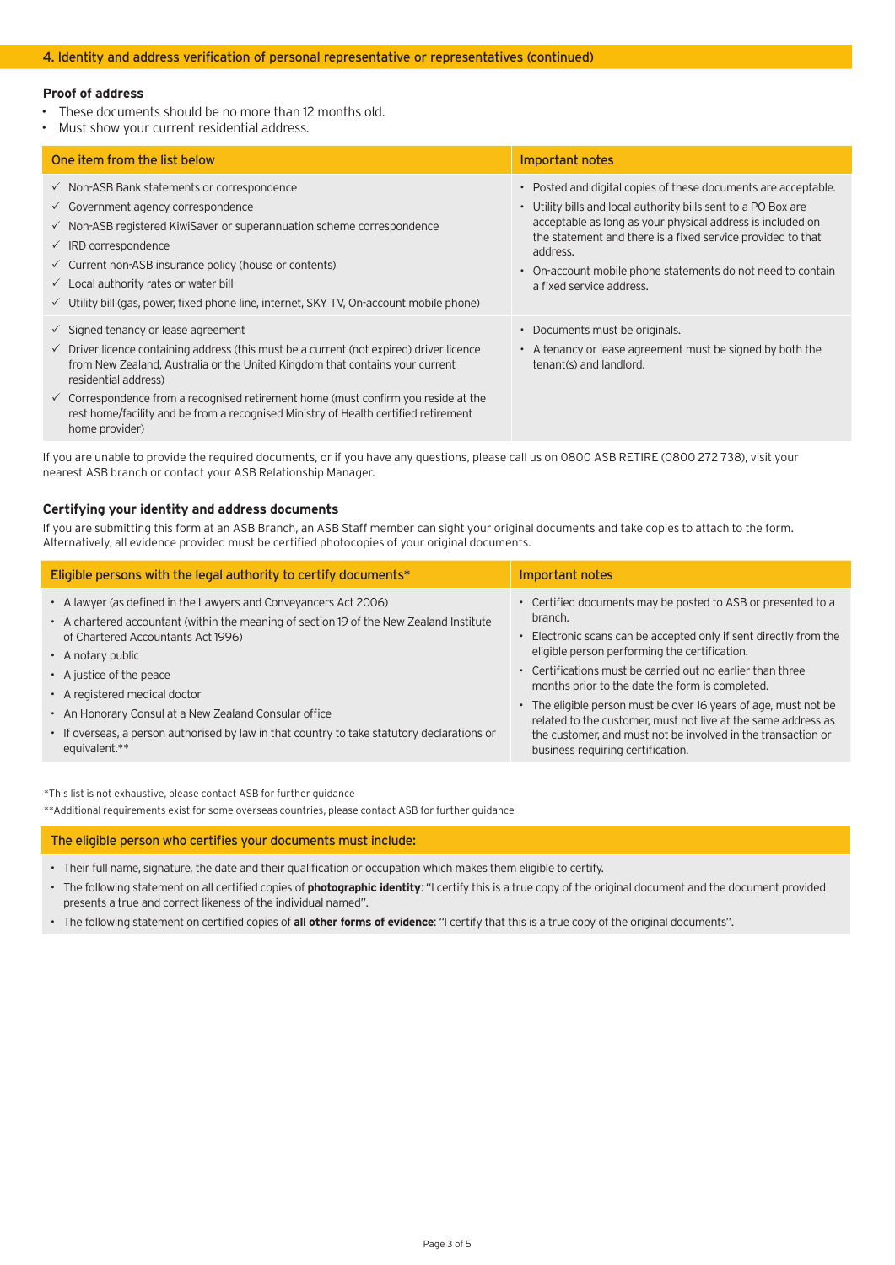## **Proof of address**

- These documents should be no more than 12 months old.
- Must show your current residential address.

| One item from the list below                                                                                                                                                                                                                                                                                                                                                                                                                                            | Important notes                                                                                                                                                                                                                                                                                                                                                                 |
|-------------------------------------------------------------------------------------------------------------------------------------------------------------------------------------------------------------------------------------------------------------------------------------------------------------------------------------------------------------------------------------------------------------------------------------------------------------------------|---------------------------------------------------------------------------------------------------------------------------------------------------------------------------------------------------------------------------------------------------------------------------------------------------------------------------------------------------------------------------------|
| $\checkmark$ Non-ASB Bank statements or correspondence<br>$\checkmark$ Government agency correspondence<br>$\checkmark$ Non-ASB registered KiwiSaver or superannuation scheme correspondence<br>$\checkmark$ IRD correspondence<br>$\checkmark$ Current non-ASB insurance policy (house or contents)<br>$\checkmark$ Local authority rates or water bill<br>$\checkmark$ Utility bill (gas, power, fixed phone line, internet, SKY TV, On-account mobile phone)         | • Posted and digital copies of these documents are acceptable.<br>• Utility bills and local authority bills sent to a PO Box are<br>acceptable as long as your physical address is included on<br>the statement and there is a fixed service provided to that<br>address.<br>On-account mobile phone statements do not need to contain<br>$\bullet$<br>a fixed service address. |
| $\checkmark$ Signed tenancy or lease agreement<br>$\checkmark$ Driver licence containing address (this must be a current (not expired) driver licence<br>from New Zealand, Australia or the United Kingdom that contains your current<br>residential address)<br>$\checkmark$ Correspondence from a recognised retirement home (must confirm you reside at the<br>rest home/facility and be from a recognised Ministry of Health certified retirement<br>home provider) | • Documents must be originals.<br>• A tenancy or lease agreement must be signed by both the<br>tenant(s) and landlord.                                                                                                                                                                                                                                                          |

If you are unable to provide the required documents, or if you have any questions, please call us on 0800 ASB RETIRE (0800 272 738), visit your nearest ASB branch or contact your ASB Relationship Manager.

### **Certifying your identity and address documents**

If you are submitting this form at an ASB Branch, an ASB Staff member can sight your original documents and take copies to attach to the form. Alternatively, all evidence provided must be certified photocopies of your original documents.

| Eligible persons with the legal authority to certify documents*                                                                                                                                                                                                                                                                                                                                                                                                    | Important notes                                                                                                                                                                                                                                                                                                                                                                                                                                                                                                                                         |
|--------------------------------------------------------------------------------------------------------------------------------------------------------------------------------------------------------------------------------------------------------------------------------------------------------------------------------------------------------------------------------------------------------------------------------------------------------------------|---------------------------------------------------------------------------------------------------------------------------------------------------------------------------------------------------------------------------------------------------------------------------------------------------------------------------------------------------------------------------------------------------------------------------------------------------------------------------------------------------------------------------------------------------------|
| • A lawyer (as defined in the Lawyers and Conveyancers Act 2006)<br>• A chartered accountant (within the meaning of section 19 of the New Zealand Institute<br>of Chartered Accountants Act 1996)<br>$\cdot$ A notary public<br>• A justice of the peace<br>• A registered medical doctor<br>• An Honorary Consul at a New Zealand Consular office<br>• If overseas, a person authorised by law in that country to take statutory declarations or<br>equivalent.** | • Certified documents may be posted to ASB or presented to a<br>branch.<br>• Electronic scans can be accepted only if sent directly from the<br>eligible person performing the certification.<br>• Certifications must be carried out no earlier than three<br>months prior to the date the form is completed.<br>• The eligible person must be over 16 years of age, must not be<br>related to the customer, must not live at the same address as<br>the customer, and must not be involved in the transaction or<br>business requiring certification. |

\*This list is not exhaustive, please contact ASB for further guidance

\*\*Additional requirements exist for some overseas countries, please contact ASB for further guidance

#### The eligible person who certifies your documents must include:

- Their full name, signature, the date and their qualification or occupation which makes them eligible to certify.
- The following statement on all certified copies of **photographic identity**: "I certify this is a true copy of the original document and the document provided presents a true and correct likeness of the individual named".
- The following statement on certified copies of **all other forms of evidence**: "I certify that this is a true copy of the original documents".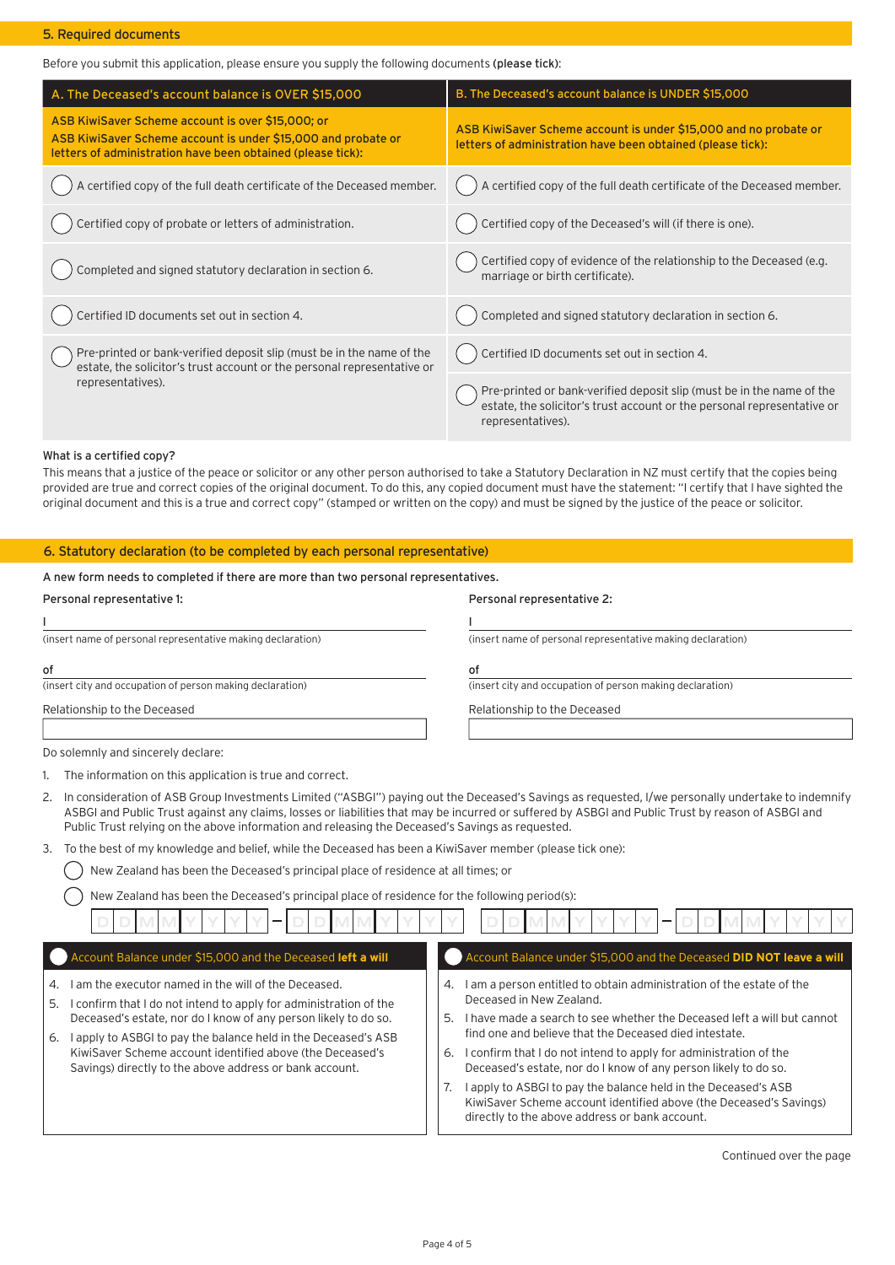#### 5. Required documents

Before you submit this application, please ensure you supply the following documents (please tick):

| A. The Deceased's account balance is OVER \$15,000                                                                                                                                | B. The Deceased's account balance is UNDER \$15,000                                                                                                                   |
|-----------------------------------------------------------------------------------------------------------------------------------------------------------------------------------|-----------------------------------------------------------------------------------------------------------------------------------------------------------------------|
| ASB KiwiSaver Scheme account is over \$15,000; or<br>ASB KiwiSaver Scheme account is under \$15,000 and probate or<br>letters of administration have been obtained (please tick): | ASB KiwiSaver Scheme account is under \$15,000 and no probate or<br>letters of administration have been obtained (please tick):                                       |
| A certified copy of the full death certificate of the Deceased member.                                                                                                            | A certified copy of the full death certificate of the Deceased member.                                                                                                |
| Certified copy of probate or letters of administration.                                                                                                                           | Certified copy of the Deceased's will (if there is one).                                                                                                              |
| Completed and signed statutory declaration in section 6.                                                                                                                          | Certified copy of evidence of the relationship to the Deceased (e.g.<br>marriage or birth certificate).                                                               |
| Certified ID documents set out in section 4.                                                                                                                                      | Completed and signed statutory declaration in section 6.                                                                                                              |
| Pre-printed or bank-verified deposit slip (must be in the name of the<br>estate, the solicitor's trust account or the personal representative or                                  | Certified ID documents set out in section 4.                                                                                                                          |
| representatives).                                                                                                                                                                 | Pre-printed or bank-verified deposit slip (must be in the name of the<br>estate, the solicitor's trust account or the personal representative or<br>representatives). |

#### What is a certified copy?

This means that a justice of the peace or solicitor or any other person authorised to take a Statutory Declaration in NZ must certify that the copies being provided are true and correct copies of the original document. To do this, any copied document must have the statement: "I certify that I have sighted the original document and this is a true and correct copy" (stamped or written on the copy) and must be signed by the justice of the peace or solicitor.

#### 6. Statutory declaration (to be completed by each personal representative)

## A new form needs to completed if there are more than two personal representatives.

| Personal representative 1:                                  | Personal representative 2:                                  |
|-------------------------------------------------------------|-------------------------------------------------------------|
|                                                             |                                                             |
| (insert name of personal representative making declaration) | (insert name of personal representative making declaration) |
| of                                                          | οf                                                          |
| (insert city and occupation of person making declaration)   | (insert city and occupation of person making declaration)   |
| Relationship to the Deceased                                | Relationship to the Deceased                                |
| Do solemnly and sincerely declare:                          |                                                             |

1. The information on this application is true and correct.

2. In consideration of ASB Group Investments Limited ("ASBGI") paying out the Deceased's Savings as requested, I/we personally undertake to indemnify ASBGI and Public Trust against any claims, losses or liabilities that may be incurred or suffered by ASBGI and Public Trust by reason of ASBGI and Public Trust relying on the above information and releasing the Deceased's Savings as requested.

### 3. To the best of my knowledge and belief, while the Deceased has been a KiwiSaver member (please tick one):

- New Zealand has been the Deceased's principal place of residence at all times; or
	- New Zealand has been the Deceased's principal place of residence for the following period(s):

| Account Balance under \$15,000 and the Deceased left a will                                                                                                                                                                 | Account Balance under \$15,000 and the Deceased DID NOT leave a will                                                                                                                                 |
|-----------------------------------------------------------------------------------------------------------------------------------------------------------------------------------------------------------------------------|------------------------------------------------------------------------------------------------------------------------------------------------------------------------------------------------------|
| I am the executor named in the will of the Deceased.<br>$\mathcal{A}_{\cdot}$<br>I confirm that I do not intend to apply for administration of the<br>5.<br>Deceased's estate, nor do I know of any person likely to do so. | I am a person entitled to obtain administration of the estate of the<br>4.<br>Deceased in New Zealand.<br>I have made a search to see whether the Deceased left a will but cannot<br>5.              |
| I apply to ASBGI to pay the balance held in the Deceased's ASB<br>6.<br>KiwiSaver Scheme account identified above (the Deceased's<br>Savings) directly to the above address or bank account.                                | find one and believe that the Deceased died intestate.<br>I confirm that I do not intend to apply for administration of the<br>6.<br>Deceased's estate, nor do I know of any person likely to do so. |
|                                                                                                                                                                                                                             | I apply to ASBGI to pay the balance held in the Deceased's ASB<br>KiwiSaver Scheme account identified above (the Deceased's Savings)<br>directly to the above address or bank account.               |

Continued over the page